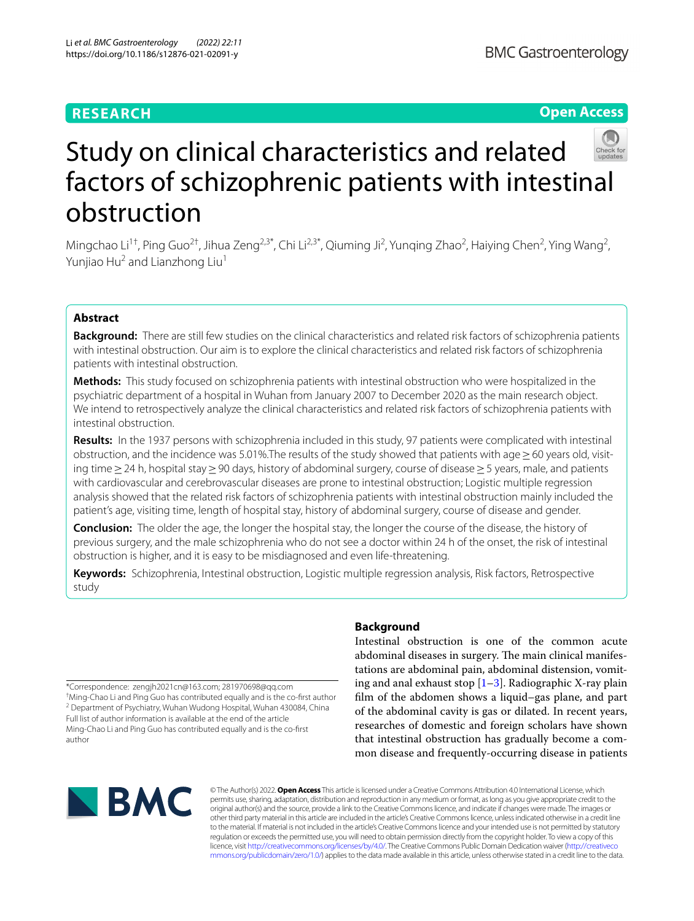# **RESEARCH**

# **Open Access**



# Study on clinical characteristics and related factors of schizophrenic patients with intestinal obstruction

Mingchao Li<sup>1†</sup>, Ping Guo<sup>2†</sup>, Jihua Zeng<sup>2,3\*</sup>, Chi Li<sup>2,3\*</sup>, Qiuming Ji<sup>2</sup>, Yunqing Zhao<sup>2</sup>, Haiying Chen<sup>2</sup>, Ying Wang<sup>2</sup>, Yunjiao Hu<sup>2</sup> and Lianzhong Liu<sup>1</sup>

## **Abstract**

**Background:** There are still few studies on the clinical characteristics and related risk factors of schizophrenia patients with intestinal obstruction. Our aim is to explore the clinical characteristics and related risk factors of schizophrenia patients with intestinal obstruction.

**Methods:** This study focused on schizophrenia patients with intestinal obstruction who were hospitalized in the psychiatric department of a hospital in Wuhan from January 2007 to December 2020 as the main research object. We intend to retrospectively analyze the clinical characteristics and related risk factors of schizophrenia patients with intestinal obstruction.

**Results:** In the 1937 persons with schizophrenia included in this study, 97 patients were complicated with intestinal obstruction, and the incidence was 5.01%. The results of the study showed that patients with age  $>60$  years old, visiting time≥24 h, hospital stay≥90 days, history of abdominal surgery, course of disease≥5 years, male, and patients with cardiovascular and cerebrovascular diseases are prone to intestinal obstruction; Logistic multiple regression analysis showed that the related risk factors of schizophrenia patients with intestinal obstruction mainly included the patient's age, visiting time, length of hospital stay, history of abdominal surgery, course of disease and gender.

**Conclusion:** The older the age, the longer the hospital stay, the longer the course of the disease, the history of previous surgery, and the male schizophrenia who do not see a doctor within 24 h of the onset, the risk of intestinal obstruction is higher, and it is easy to be misdiagnosed and even life-threatening.

**Keywords:** Schizophrenia, Intestinal obstruction, Logistic multiple regression analysis, Risk factors, Retrospective study

\*Correspondence: zengjh2021cn@163.com; 281970698@qq.com † Ming-Chao Li and Ping Guo has contributed equally and is the co-frst author <sup>2</sup> Department of Psychiatry, Wuhan Wudong Hospital, Wuhan 430084, China Full list of author information is available at the end of the article Ming-Chao Li and Ping Guo has contributed equally and is the co-frst author

## **Background**

Intestinal obstruction is one of the common acute abdominal diseases in surgery. The main clinical manifestations are abdominal pain, abdominal distension, vomiting and anal exhaust stop  $[1-3]$  $[1-3]$ . Radiographic X-ray plain flm of the abdomen shows a liquid–gas plane, and part of the abdominal cavity is gas or dilated. In recent years, researches of domestic and foreign scholars have shown that intestinal obstruction has gradually become a common disease and frequently-occurring disease in patients



© The Author(s) 2022. **Open Access** This article is licensed under a Creative Commons Attribution 4.0 International License, which permits use, sharing, adaptation, distribution and reproduction in any medium or format, as long as you give appropriate credit to the original author(s) and the source, provide a link to the Creative Commons licence, and indicate if changes were made. The images or other third party material in this article are included in the article's Creative Commons licence, unless indicated otherwise in a credit line to the material. If material is not included in the article's Creative Commons licence and your intended use is not permitted by statutory regulation or exceeds the permitted use, you will need to obtain permission directly from the copyright holder. To view a copy of this licence, visit [http://creativecommons.org/licenses/by/4.0/.](http://creativecommons.org/licenses/by/4.0/) The Creative Commons Public Domain Dedication waiver ([http://creativeco](http://creativecommons.org/publicdomain/zero/1.0/) [mmons.org/publicdomain/zero/1.0/](http://creativecommons.org/publicdomain/zero/1.0/)) applies to the data made available in this article, unless otherwise stated in a credit line to the data.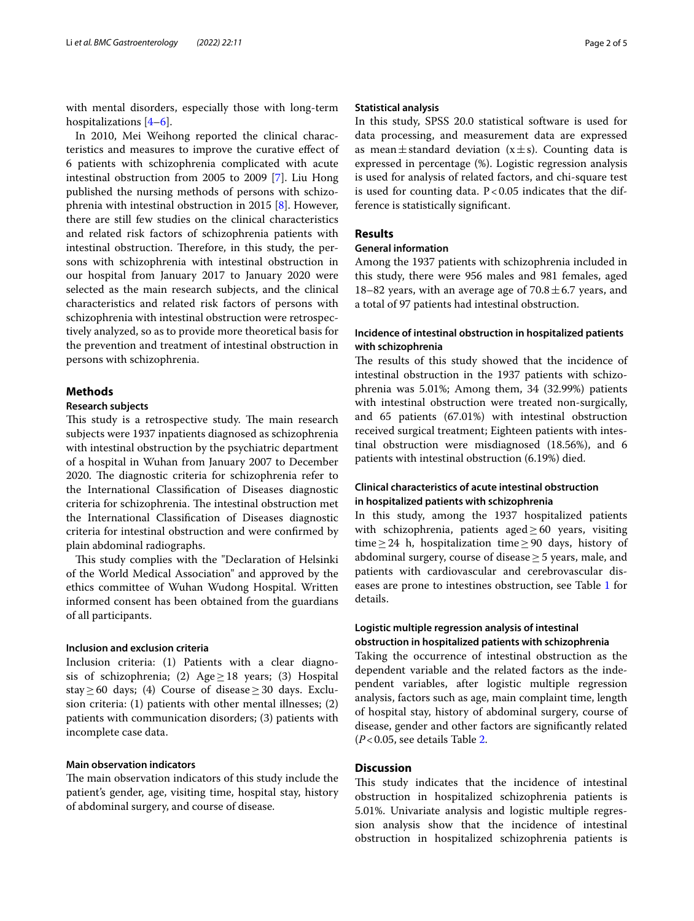with mental disorders, especially those with long-term hospitalizations [[4–](#page-3-2)[6](#page-3-3)].

In 2010, Mei Weihong reported the clinical characteristics and measures to improve the curative efect of 6 patients with schizophrenia complicated with acute intestinal obstruction from 2005 to 2009 [\[7](#page-3-4)]. Liu Hong published the nursing methods of persons with schizophrenia with intestinal obstruction in 2015 [\[8\]](#page-3-5). However, there are still few studies on the clinical characteristics and related risk factors of schizophrenia patients with intestinal obstruction. Therefore, in this study, the persons with schizophrenia with intestinal obstruction in our hospital from January 2017 to January 2020 were selected as the main research subjects, and the clinical characteristics and related risk factors of persons with schizophrenia with intestinal obstruction were retrospectively analyzed, so as to provide more theoretical basis for the prevention and treatment of intestinal obstruction in persons with schizophrenia.

## **Methods**

## **Research subjects**

This study is a retrospective study. The main research subjects were 1937 inpatients diagnosed as schizophrenia with intestinal obstruction by the psychiatric department of a hospital in Wuhan from January 2007 to December 2020. The diagnostic criteria for schizophrenia refer to the International Classifcation of Diseases diagnostic criteria for schizophrenia. The intestinal obstruction met the International Classifcation of Diseases diagnostic criteria for intestinal obstruction and were confrmed by plain abdominal radiographs.

This study complies with the "Declaration of Helsinki of the World Medical Association" and approved by the ethics committee of Wuhan Wudong Hospital. Written informed consent has been obtained from the guardians of all participants.

## **Inclusion and exclusion criteria**

Inclusion criteria: (1) Patients with a clear diagnosis of schizophrenia; (2) Age  $\geq$  18 years; (3) Hospital stay≥60 days; (4) Course of disease≥30 days. Exclusion criteria: (1) patients with other mental illnesses; (2) patients with communication disorders; (3) patients with incomplete case data.

## **Main observation indicators**

The main observation indicators of this study include the patient's gender, age, visiting time, hospital stay, history of abdominal surgery, and course of disease.

### **Statistical analysis**

In this study, SPSS 20.0 statistical software is used for data processing, and measurement data are expressed as mean $\pm$ standard deviation (x $\pm$ s). Counting data is expressed in percentage (%). Logistic regression analysis is used for analysis of related factors, and chi-square test is used for counting data.  $P < 0.05$  indicates that the difference is statistically signifcant.

## **Results**

## **General information**

Among the 1937 patients with schizophrenia included in this study, there were 956 males and 981 females, aged 18–82 years, with an average age of  $70.8 \pm 6.7$  years, and a total of 97 patients had intestinal obstruction.

## **Incidence of intestinal obstruction in hospitalized patients with schizophrenia**

The results of this study showed that the incidence of intestinal obstruction in the 1937 patients with schizophrenia was 5.01%; Among them, 34 (32.99%) patients with intestinal obstruction were treated non-surgically, and 65 patients (67.01%) with intestinal obstruction received surgical treatment; Eighteen patients with intestinal obstruction were misdiagnosed (18.56%), and 6 patients with intestinal obstruction (6.19%) died.

## **Clinical characteristics of acute intestinal obstruction in hospitalized patients with schizophrenia**

In this study, among the 1937 hospitalized patients with schizophrenia, patients aged $\geq 60$  years, visiting time≥24 h, hospitalization time≥90 days, history of abdominal surgery, course of disease $\geq$  5 years, male, and patients with cardiovascular and cerebrovascular diseases are prone to intestines obstruction, see Table [1](#page-2-0) for details.

## **Logistic multiple regression analysis of intestinal obstruction in hospitalized patients with schizophrenia**

Taking the occurrence of intestinal obstruction as the dependent variable and the related factors as the independent variables, after logistic multiple regression analysis, factors such as age, main complaint time, length of hospital stay, history of abdominal surgery, course of disease, gender and other factors are signifcantly related (*P*<0.05, see details Table [2](#page-2-1).

## **Discussion**

This study indicates that the incidence of intestinal obstruction in hospitalized schizophrenia patients is 5.01%. Univariate analysis and logistic multiple regression analysis show that the incidence of intestinal obstruction in hospitalized schizophrenia patients is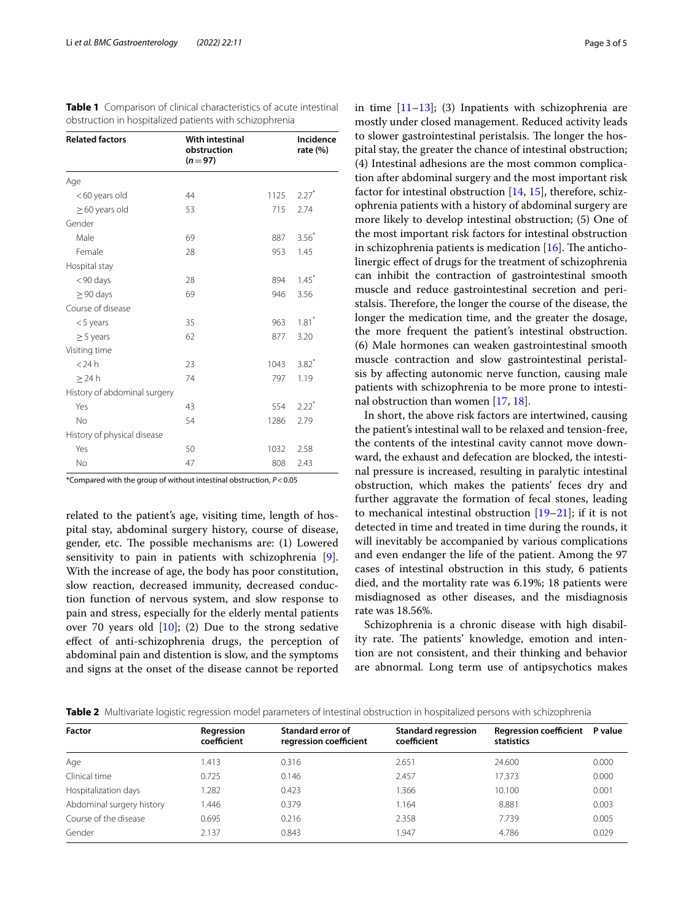| <b>Related factors</b>       | <b>With intestinal</b><br>obstruction<br>$(n=97)$ |      | Incidence<br>rate $(\%)$ |
|------------------------------|---------------------------------------------------|------|--------------------------|
| Age                          |                                                   |      |                          |
| <60 years old                | 44                                                | 1125 | $2.27$ <sup>*</sup>      |
| $\geq$ 60 years old          | 53                                                | 715  | 2.74                     |
| Gender                       |                                                   |      |                          |
| Male                         | 69                                                | 887  | 3.56                     |
| Female                       | 28                                                | 953  | 1.45                     |
| Hospital stay                |                                                   |      |                          |
| <90 days                     | 28                                                | 894  | $1.45*$                  |
| $\geq$ 90 days               | 69                                                | 946  | 3.56                     |
| Course of disease            |                                                   |      |                          |
| $<$ 5 years                  | 35                                                | 963  | $1.81$ <sup>*</sup>      |
| $\geq$ 5 years               | 62                                                | 877  | 3.20                     |
| Visiting time                |                                                   |      |                          |
| $<$ 24 $h$                   | 23                                                | 1043 | $3.82*$                  |
| $\geq$ 24 h                  | 74                                                | 797  | 1.19                     |
| History of abdominal surgery |                                                   |      |                          |
| Yes                          | 43                                                | 554  | $2.22$ <sup>*</sup>      |
| <b>No</b>                    | 54                                                | 1286 | 2.79                     |
| History of physical disease  |                                                   |      |                          |
| Yes                          | 50                                                | 1032 | 2.58                     |
| <b>No</b>                    | 47                                                | 808  | 2.43                     |

<span id="page-2-0"></span>**Table 1** Comparison of clinical characteristics of acute intestinal obstruction in hospitalized patients with schizophrenia

\*Compared with the group of without intestinal obstruction, *P*<0.05

related to the patient's age, visiting time, length of hospital stay, abdominal surgery history, course of disease, gender, etc. The possible mechanisms are: (1) Lowered sensitivity to pain in patients with schizophrenia [\[9](#page-3-6)]. With the increase of age, the body has poor constitution, slow reaction, decreased immunity, decreased conduction function of nervous system, and slow response to pain and stress, especially for the elderly mental patients over 70 years old  $[10]$  $[10]$  $[10]$ ; (2) Due to the strong sedative efect of anti-schizophrenia drugs, the perception of abdominal pain and distention is slow, and the symptoms and signs at the onset of the disease cannot be reported in time  $[11-13]$  $[11-13]$  $[11-13]$ ; (3) Inpatients with schizophrenia are mostly under closed management. Reduced activity leads to slower gastrointestinal peristalsis. The longer the hospital stay, the greater the chance of intestinal obstruction; (4) Intestinal adhesions are the most common complication after abdominal surgery and the most important risk factor for intestinal obstruction  $[14, 15]$  $[14, 15]$  $[14, 15]$  $[14, 15]$  $[14, 15]$ , therefore, schizophrenia patients with a history of abdominal surgery are more likely to develop intestinal obstruction; (5) One of the most important risk factors for intestinal obstruction in schizophrenia patients is medication  $[16]$  $[16]$ . The anticholinergic efect of drugs for the treatment of schizophrenia can inhibit the contraction of gastrointestinal smooth muscle and reduce gastrointestinal secretion and peristalsis. Therefore, the longer the course of the disease, the longer the medication time, and the greater the dosage, the more frequent the patient's intestinal obstruction. (6) Male hormones can weaken gastrointestinal smooth muscle contraction and slow gastrointestinal peristalsis by afecting autonomic nerve function, causing male patients with schizophrenia to be more prone to intestinal obstruction than women [[17,](#page-4-4) [18](#page-4-5)].

In short, the above risk factors are intertwined, causing the patient's intestinal wall to be relaxed and tension-free, the contents of the intestinal cavity cannot move downward, the exhaust and defecation are blocked, the intestinal pressure is increased, resulting in paralytic intestinal obstruction, which makes the patients' feces dry and further aggravate the formation of fecal stones, leading to mechanical intestinal obstruction [\[19–](#page-4-6)[21\]](#page-4-7); if it is not detected in time and treated in time during the rounds, it will inevitably be accompanied by various complications and even endanger the life of the patient. Among the 97 cases of intestinal obstruction in this study, 6 patients died, and the mortality rate was 6.19%; 18 patients were misdiagnosed as other diseases, and the misdiagnosis rate was 18.56%.

Schizophrenia is a chronic disease with high disability rate. The patients' knowledge, emotion and intention are not consistent, and their thinking and behavior are abnormal. Long term use of antipsychotics makes

<span id="page-2-1"></span>

|  |  |  | Table 2 Multivariate logistic regression model parameters of intestinal obstruction in hospitalized persons with schizophrenia |  |  |  |  |  |  |
|--|--|--|--------------------------------------------------------------------------------------------------------------------------------|--|--|--|--|--|--|
|--|--|--|--------------------------------------------------------------------------------------------------------------------------------|--|--|--|--|--|--|

| <b>Factor</b>             | Regression<br>coefficient | Standard error of<br>regression coefficient | <b>Standard regression</b><br>coefficient | <b>Regression coefficient</b><br>statistics | P value |
|---------------------------|---------------------------|---------------------------------------------|-------------------------------------------|---------------------------------------------|---------|
| Age                       | 1.413                     | 0.316                                       | 2.651                                     | 24,600                                      | 0.000   |
| Clinical time             | 0.725                     | 0.146                                       | 2.457                                     | 17.373                                      | 0.000   |
| Hospitalization days      | .282                      | 0.423                                       | .366                                      | 10.100                                      | 0.001   |
| Abdominal surgery history | .446                      | 0.379                                       | 1.164                                     | 8.881                                       | 0.003   |
| Course of the disease     | 0.695                     | 0.216                                       | 2.358                                     | 7.739                                       | 0.005   |
| Gender                    | 2.137                     | 0.843                                       | 1.947                                     | 4.786                                       | 0.029   |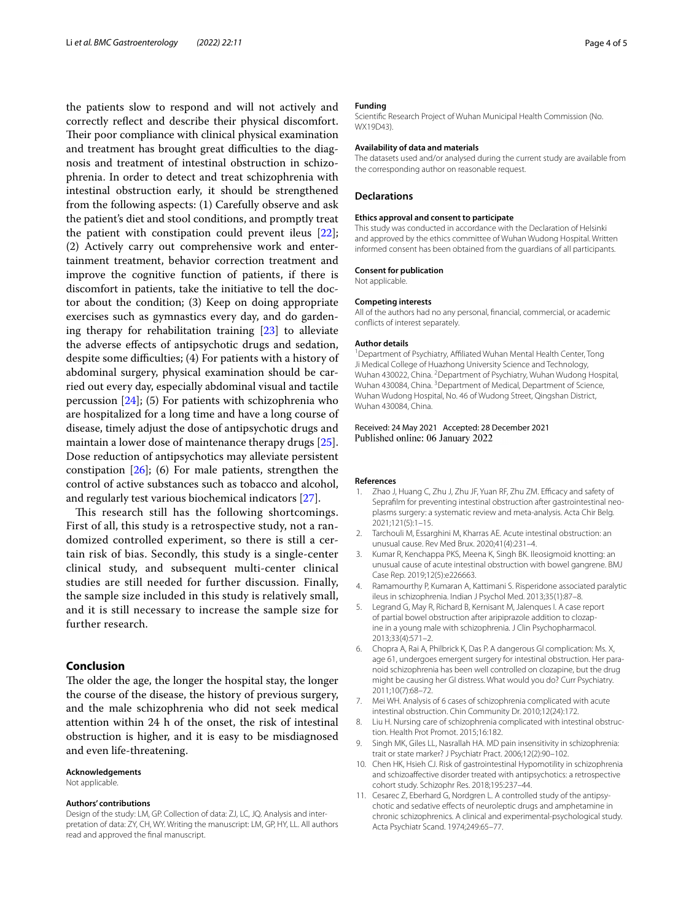the patients slow to respond and will not actively and correctly refect and describe their physical discomfort. Their poor compliance with clinical physical examination and treatment has brought great difficulties to the diagnosis and treatment of intestinal obstruction in schizophrenia. In order to detect and treat schizophrenia with intestinal obstruction early, it should be strengthened from the following aspects: (1) Carefully observe and ask the patient's diet and stool conditions, and promptly treat the patient with constipation could prevent ileus [\[22](#page-4-8)]; (2) Actively carry out comprehensive work and entertainment treatment, behavior correction treatment and improve the cognitive function of patients, if there is discomfort in patients, take the initiative to tell the doctor about the condition; (3) Keep on doing appropriate exercises such as gymnastics every day, and do gardening therapy for rehabilitation training [\[23](#page-4-9)] to alleviate the adverse efects of antipsychotic drugs and sedation, despite some difficulties; (4) For patients with a history of abdominal surgery, physical examination should be carried out every day, especially abdominal visual and tactile percussion  $[24]$ ; (5) For patients with schizophrenia who are hospitalized for a long time and have a long course of disease, timely adjust the dose of antipsychotic drugs and maintain a lower dose of maintenance therapy drugs [\[25](#page-4-11)]. Dose reduction of antipsychotics may alleviate persistent constipation [[26\]](#page-4-12); (6) For male patients, strengthen the control of active substances such as tobacco and alcohol, and regularly test various biochemical indicators [\[27](#page-4-13)].

This research still has the following shortcomings. First of all, this study is a retrospective study, not a randomized controlled experiment, so there is still a certain risk of bias. Secondly, this study is a single-center clinical study, and subsequent multi-center clinical studies are still needed for further discussion. Finally, the sample size included in this study is relatively small, and it is still necessary to increase the sample size for further research.

## **Conclusion**

The older the age, the longer the hospital stay, the longer the course of the disease, the history of previous surgery, and the male schizophrenia who did not seek medical attention within 24 h of the onset, the risk of intestinal obstruction is higher, and it is easy to be misdiagnosed and even life-threatening.

#### **Acknowledgements**

Not applicable.

#### **Authors' contributions**

Design of the study: LM, GP. Collection of data: ZJ, LC, JQ. Analysis and interpretation of data: ZY, CH, WY. Writing the manuscript: LM, GP, HY, LL. All authors read and approved the fnal manuscript.

#### **Funding**

Scientifc Research Project of Wuhan Municipal Health Commission (No. WX19D43)

#### **Availability of data and materials**

The datasets used and/or analysed during the current study are available from the corresponding author on reasonable request.

### **Declarations**

#### **Ethics approval and consent to participate**

This study was conducted in accordance with the Declaration of Helsinki and approved by the ethics committee of Wuhan Wudong Hospital. Written informed consent has been obtained from the guardians of all participants.

#### **Consent for publication** Not applicable.

## **Competing interests**

All of the authors had no any personal, fnancial, commercial, or academic conficts of interest separately.

#### **Author details**

<sup>1</sup> Department of Psychiatry, Affiliated Wuhan Mental Health Center, Tong Ji Medical College of Huazhong University Science and Technology, Wuhan 430022, China. <sup>2</sup> Department of Psychiatry, Wuhan Wudong Hospital, Wuhan 430084, China. <sup>3</sup> Department of Medical, Department of Science, Wuhan Wudong Hospital, No. 46 of Wudong Street, Qingshan District, Wuhan 430084, China.

Received: 24 May 2021 Accepted: 28 December 2021 Published online: 06 January 2022

#### **References**

- <span id="page-3-0"></span>1. Zhao J, Huang C, Zhu J, Zhu JF, Yuan RF, Zhu ZM. Efficacy and safety of Sepraflm for preventing intestinal obstruction after gastrointestinal neoplasms surgery: a systematic review and meta-analysis. Acta Chir Belg. 2021;121(5):1–15.
- 2. Tarchouli M, Essarghini M, Kharras AE. Acute intestinal obstruction: an unusual cause. Rev Med Brux. 2020;41(4):231–4.
- <span id="page-3-1"></span>3. Kumar R, Kenchappa PKS, Meena K, Singh BK. Ileosigmoid knotting: an unusual cause of acute intestinal obstruction with bowel gangrene. BMJ Case Rep. 2019;12(5):e226663.
- <span id="page-3-2"></span>4. Ramamourthy P, Kumaran A, Kattimani S. Risperidone associated paralytic ileus in schizophrenia. Indian J Psychol Med. 2013;35(1):87–8.
- 5. Legrand G, May R, Richard B, Kernisant M, Jalenques I. A case report of partial bowel obstruction after aripiprazole addition to clozapine in a young male with schizophrenia. J Clin Psychopharmacol. 2013;33(4):571–2.
- <span id="page-3-3"></span>6. Chopra A, Rai A, Philbrick K, Das P. A dangerous GI complication: Ms. X, age 61, undergoes emergent surgery for intestinal obstruction. Her paranoid schizophrenia has been well controlled on clozapine, but the drug might be causing her GI distress. What would you do? Curr Psychiatry. 2011;10(7):68–72.
- <span id="page-3-4"></span>7. Mei WH. Analysis of 6 cases of schizophrenia complicated with acute intestinal obstruction. Chin Community Dr. 2010;12(24):172.
- <span id="page-3-5"></span>8. Liu H. Nursing care of schizophrenia complicated with intestinal obstruction. Health Prot Promot. 2015;16:182.
- <span id="page-3-6"></span>Singh MK, Giles LL, Nasrallah HA. MD pain insensitivity in schizophrenia: trait or state marker? J Psychiatr Pract. 2006;12(2):90–102.
- <span id="page-3-7"></span>10. Chen HK, Hsieh CJ. Risk of gastrointestinal Hypomotility in schizophrenia and schizoafective disorder treated with antipsychotics: a retrospective cohort study. Schizophr Res. 2018;195:237–44.
- <span id="page-3-8"></span>11. Cesarec Z, Eberhard G, Nordgren L. A controlled study of the antipsychotic and sedative efects of neuroleptic drugs and amphetamine in chronic schizophrenics. A clinical and experimental-psychological study. Acta Psychiatr Scand. 1974;249:65–77.